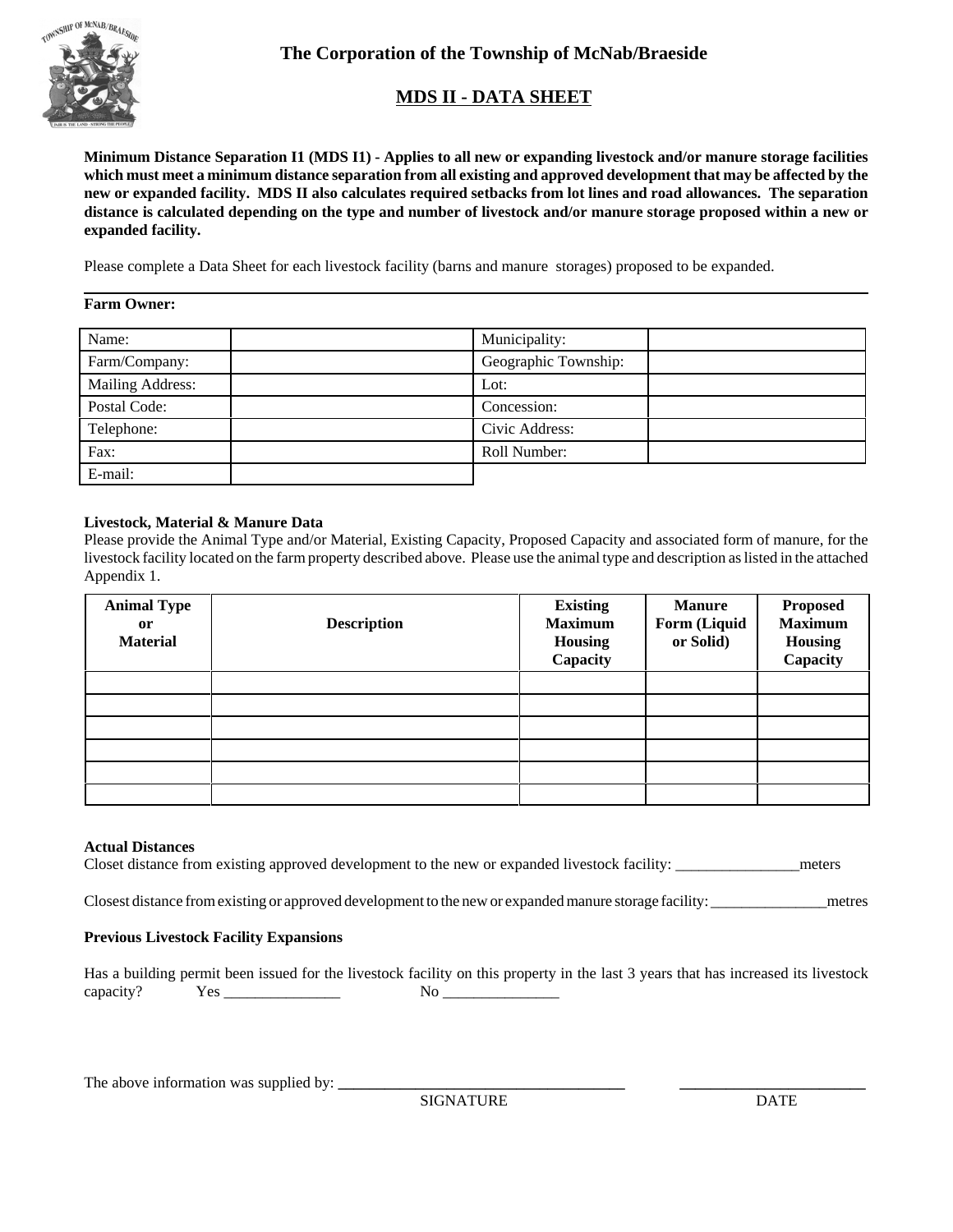

**The Corporation of the Township of McNab/Braeside**

## **MDS II - DATA SHEET**

**Minimum Distance Separation I1 (MDS I1) - Applies to all new or expanding livestock and/or manure storage facilities which must meet a minimum distance separation from all existing and approved development that may be affected by the new or expanded facility. MDS II also calculates required setbacks from lot lines and road allowances. The separation distance is calculated depending on the type and number of livestock and/or manure storage proposed within a new or expanded facility.**

Please complete a Data Sheet for each livestock facility (barns and manure storages) proposed to be expanded.

## **Farm Owner:**

| Name:            | Municipality:        |
|------------------|----------------------|
| Farm/Company:    | Geographic Township: |
| Mailing Address: | Lot:                 |
| Postal Code:     | Concession:          |
| Telephone:       | Civic Address:       |
| Fax:             | Roll Number:         |
| E-mail:          |                      |

## **Livestock, Material & Manure Data**

Please provide the Animal Type and/or Material, Existing Capacity, Proposed Capacity and associated form of manure, for the livestock facility located on the farm property described above. Please use the animal type and description as listed in the attached Appendix 1.

| <b>Animal Type</b><br><sub>or</sub><br><b>Material</b> | <b>Description</b> | <b>Existing</b><br><b>Maximum</b><br><b>Housing</b><br>Capacity | <b>Manure</b><br>Form (Liquid<br>or Solid) | <b>Proposed</b><br><b>Maximum</b><br><b>Housing</b><br>Capacity |
|--------------------------------------------------------|--------------------|-----------------------------------------------------------------|--------------------------------------------|-----------------------------------------------------------------|
|                                                        |                    |                                                                 |                                            |                                                                 |
|                                                        |                    |                                                                 |                                            |                                                                 |
|                                                        |                    |                                                                 |                                            |                                                                 |
|                                                        |                    |                                                                 |                                            |                                                                 |
|                                                        |                    |                                                                 |                                            |                                                                 |
|                                                        |                    |                                                                 |                                            |                                                                 |

## **Actual Distances**

Closet distance from existing approved development to the new or expanded livestock facility: \_\_\_\_\_\_\_\_\_\_\_\_\_\_\_\_meters

Closest distance from existing or approved development to the new or expanded manure storage facility: \_\_\_\_\_\_\_\_\_\_\_\_\_\_\_metres

## **Previous Livestock Facility Expansions**

Has a building permit been issued for the livestock facility on this property in the last 3 years that has increased its livestock capacity? Yes \_\_\_\_\_\_\_\_\_\_\_\_\_\_\_ No \_\_\_\_\_\_\_\_\_\_\_\_\_\_\_

The above information was supplied by: **\_\_\_\_\_\_\_\_\_\_\_\_\_\_\_\_\_\_\_\_\_\_\_\_\_\_\_\_\_\_\_\_\_\_\_\_\_ \_\_\_\_\_\_\_\_\_\_\_\_\_\_\_\_\_\_\_\_\_\_\_\_**

SIGNATURE DATE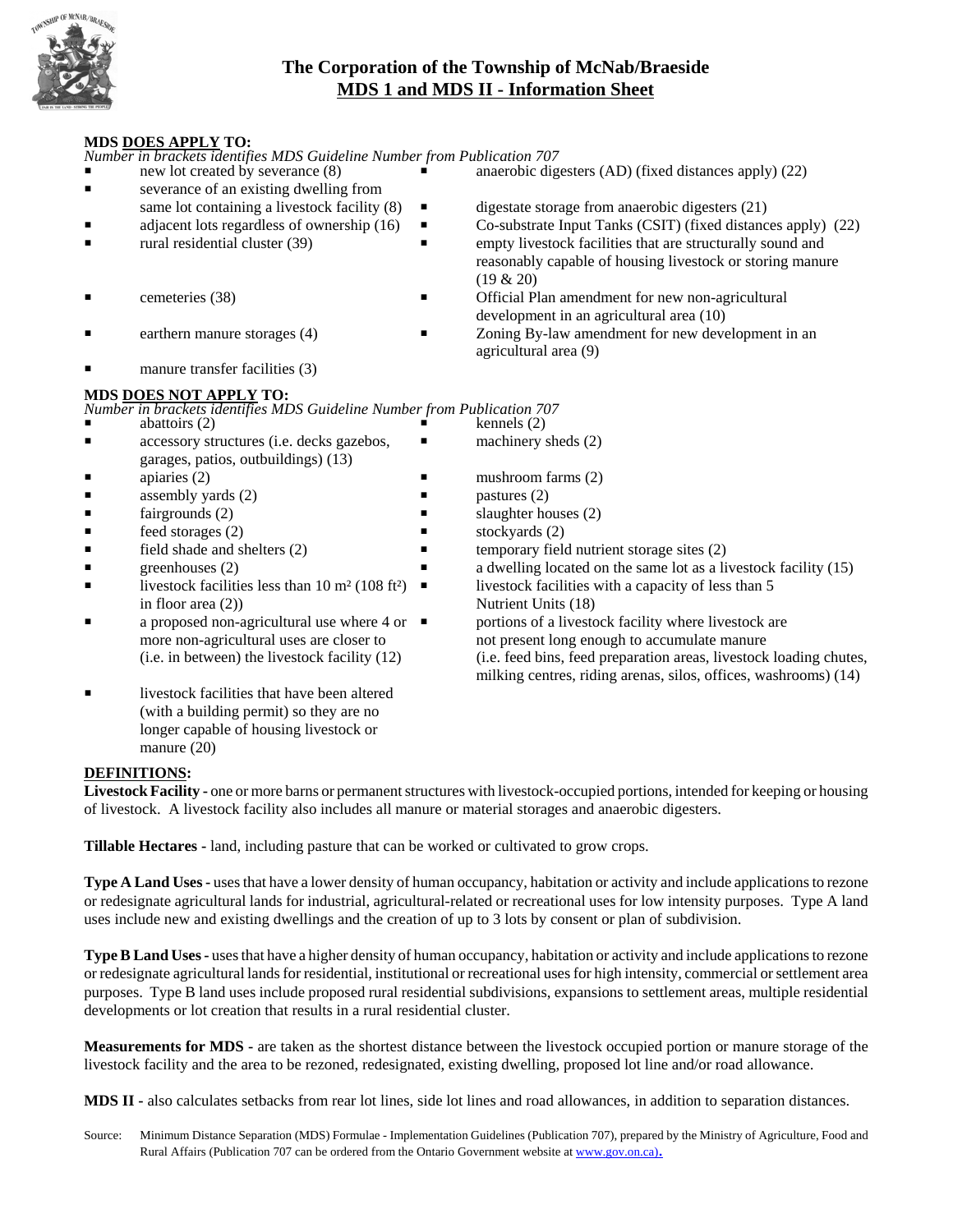

## **The Corporation of the Township of McNab/Braeside MDS 1 and MDS II - Information Sheet**

## **MDS DOES APPLY TO:**

*Number in brackets identifies MDS Guideline Number from Publication 707* new lot created by severance (8) **P** anaerobic digesters (AD) (fixed distances apply) (22) **Exercise** severance of an existing dwelling from same lot containing a livestock facility  $(8)$   $\blacksquare$  digestate storage from anaerobic digesters  $(21)$  $\blacksquare$  adjacent lots regardless of ownership (16)  $\blacksquare$  Co-substrate Input Tanks (CSIT) (fixed distances apply) (22) rural residential cluster (39)  $\blacksquare$  empty livestock facilities that are structurally sound and (19 & 20) **P** Cemeteries (38) **P** Official Plan amendment for new non-agricultural development in an agricultural area (10) earthern manure storages (4) **P** Zoning By-law amendment for new development in an agricultural area (9) manure transfer facilities (3) *Number in brackets identifies MDS Guideline Number from Publication 707*<br>abattoirs (2) **Finally** abattoirs  $(2)$ **Example 3** accessory structures (i.e. decks gazebos, **P** machinery sheds (2) garages, patios, outbuildings) (13)  $\Box$  apiaries (2) P mushroom farms (2) **assembly yards (2) P** pastures (2)  $\blacksquare$  slaughter houses (2) Freed storages (2) P stockyards (2)  $\blacksquare$  Field shade and shelters (2)  $\blacksquare$  temporary field nutrient storage sites (2) greenhouses (2) **P** a dwelling located on the same lot as a livestock facility (15) livestock facilities less than 10 m<sup>2</sup> (108 ft<sup>2</sup>)  $\blacksquare$  livestock facilities with a capacity of less than 5 in floor area (2)) Nutrient Units (18) a proposed non-agricultural use where  $4$  or  $\blacksquare$  portions of a livestock facility where livestock are more non-agricultural uses are closer to not present long enough to accumulate manure (i.e. in between) the livestock facility (12) (i.e. feed bins, feed preparation areas, livestock loading chutes, milking centres, riding arenas, silos, offices, washrooms) (14) livestock facilities that have been altered (with a building permit) so they are no longer capable of housing livestock or

## **DEFINITIONS:**

Livestock Facility - one or more barns or permanent structures with livestock-occupied portions, intended for keeping or housing of livestock. A livestock facility also includes all manure or material storages and anaerobic digesters.

**Tillable Hectares -** land, including pasture that can be worked or cultivated to grow crops.

**Type A Land Uses - uses that have a lower density of human occupancy, habitation or activity and include applications to rezone** or redesignate agricultural lands for industrial, agricultural-related or recreational uses for low intensity purposes. Type A land uses include new and existing dwellings and the creation of up to 3 lots by consent or plan of subdivision.

**Type B Land Uses - uses that have a higher density of human occupancy, habitation or activity and include applications to rezone** or redesignate agricultural lands for residential, institutional or recreational uses for high intensity, commercial or settlement area purposes.Type B land uses include proposed rural residential subdivisions, expansions to settlement areas, multiple residential developments or lot creation that results in a rural residential cluster.

**Measurements for MDS -** are taken as the shortest distance between the livestock occupied portion or manure storage of the livestock facility and the area to be rezoned, redesignated, existing dwelling, proposed lot line and/or road allowance.

**MDS II -** also calculates setbacks from rear lot lines, side lot lines and road allowances, in addition to separation distances.

Source: Minimum Distance Separation (MDS) Formulae - Implementation Guidelines (Publication 707), prepared by the Ministry of Agriculture, Food and Rural Affairs (Publication 707 can be ordered from the Ontario Government website at www.gov.on.ca).

- 
- reasonably capable of housing livestock or storing manure
- 
- 

## **MDS DOES NOT APPLY TO:**

- 
- 
- 
- 
- 
- 
- 
- 
- 
- 
- manure (20)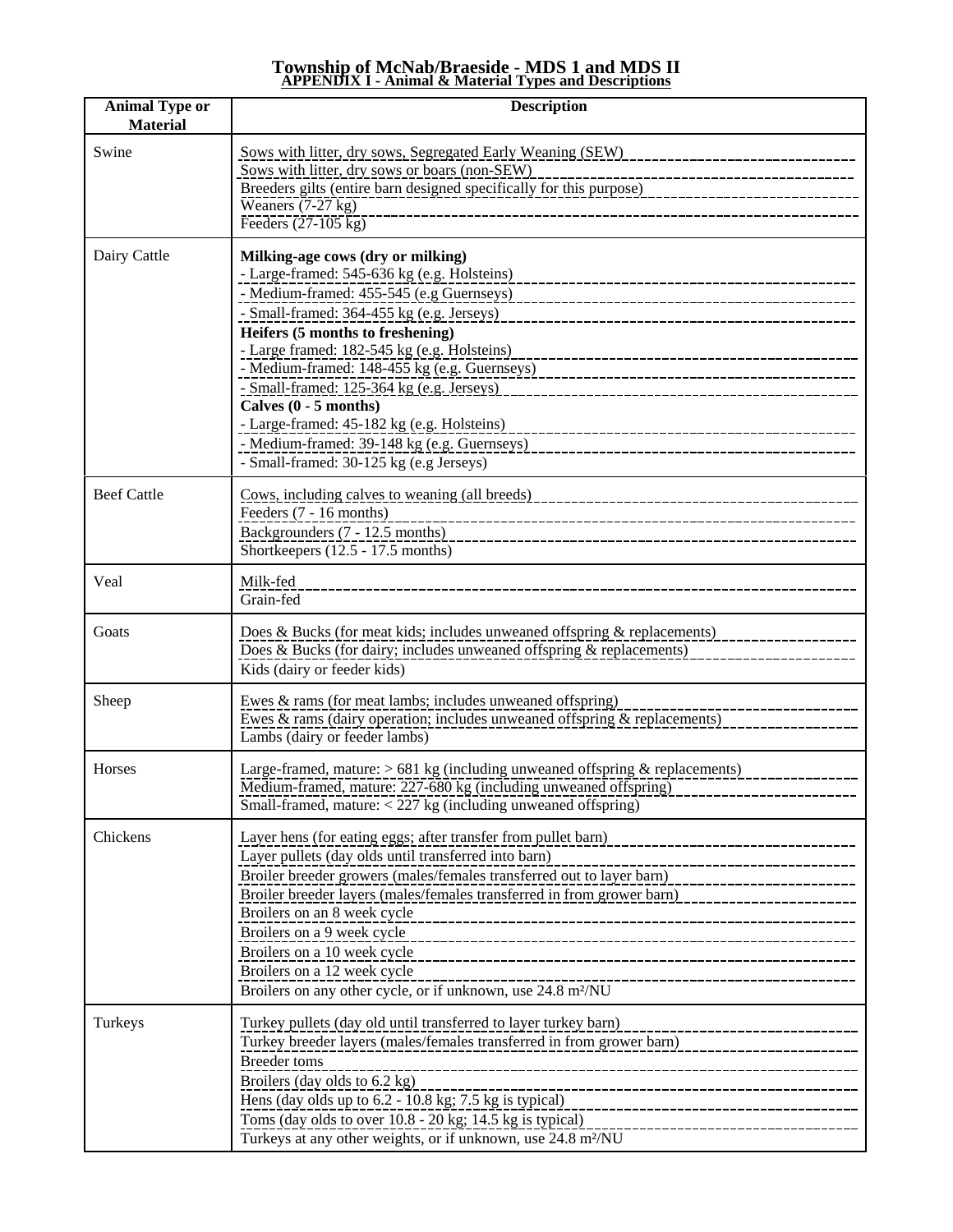# **Township of McNab/Braeside** - **MDS 1 and MDS II APPENDIX I - Animal & Material Types and Descriptions**

| <b>Animal Type or</b><br><b>Material</b> | <b>Description</b>                                                                                                                                                                                                                                                                                                                                                                                                                                                                                                   |
|------------------------------------------|----------------------------------------------------------------------------------------------------------------------------------------------------------------------------------------------------------------------------------------------------------------------------------------------------------------------------------------------------------------------------------------------------------------------------------------------------------------------------------------------------------------------|
| Swine                                    | Sows with litter, dry sows, Segregated Early Weaning (SEW)<br>________________________________<br>Sows with litter, dry sows or boars (non-SEW)<br>----------------------------------<br>The Breeders gilts (entire barn designed specifically for this purpose)<br>Breeders gilts (entire barn designed specifically for this purpose)<br>Weaners $(7-27$ kg)<br>------------------------------<br>Feeders $(27-105 \text{ kg})$                                                                                    |
| Dairy Cattle                             | Milking-age cows (dry or milking)<br>- Large-framed: 545-636 kg (e.g. Holsteins)<br>- Small-framed: 364-455 kg (e.g. Jerseys)<br>Heifers (5 months to freshening)<br>- Large framed: 182-545 kg (e.g. Holsteins)<br>Calves (0 - 5 months)<br>- Large-framed: 45-182 kg (e.g. Holsteins)<br>----------------<br>- Medium-framed: 39-148 kg (e.g. Guernseys)<br>- Small-framed: 30-125 kg (e.g Jerseys)                                                                                                                |
| <b>Beef Cattle</b>                       | Feeders (7 - 16 months)<br>Backgrounders (7 - 12.5 months)<br>Shortkeepers (12.5 - 17.5 months)                                                                                                                                                                                                                                                                                                                                                                                                                      |
| Veal                                     | Milk-fed<br>Grain-fed                                                                                                                                                                                                                                                                                                                                                                                                                                                                                                |
| Goats                                    | Does & Bucks (for meat kids; includes unweaned offspring & replacements)<br>Does & Bucks (for dairy; includes unweaned offspring & replacements)<br>Kids (dairy or feeder kids)                                                                                                                                                                                                                                                                                                                                      |
| Sheep                                    | Ewes $\&$ rams (for meat lambs; includes unweaned offspring)<br>Ewes $\&$ rams (dairy operation; includes unweaned offspring $\&$ replacements)<br>Lambs (dairy or feeder lambs)                                                                                                                                                                                                                                                                                                                                     |
| Horses                                   | Large-framed, mature: $> 681$ kg (including unweaned offspring & replacements)<br>Medium-framed, mature: 227-680 kg (including unweaned offspring)<br>Small-framed, mature: $<$ 227 kg (including unweaned offspring)                                                                                                                                                                                                                                                                                                |
| Chickens                                 | Layer hens (for eating eggs; after transfer from pullet barn)<br>Layer pullets (day olds until transferred into barn)<br>Broiler breeder growers (males/females transferred out to layer barn)<br>Broiler breeder layers (males/females transferred in from grower barn)<br>Broilers on an 8 week cycle<br>Broilers on a 9 week cycle<br>Broilers on a 10 week cycle<br>Broilers on a 12 week cycle<br>__________________________________<br>Broilers on any other cycle, or if unknown, use 24.8 m <sup>2</sup> /NU |
| Turkeys                                  | Turkey pullets (day old until transferred to layer turkey barn)<br>------------------------<br>Turkey breeder layers (males/females transferred in from grower barn)<br><b>Breeder</b> toms<br>Broilers (day olds to 6.2 kg)<br>Hens (day olds up to $6.2 - 10.8$ kg; $7.5$ kg is typical)<br>Toms (day olds to over 10.8 - 20 kg; 14.5 kg is typical)<br>Turkeys at any other weights, or if unknown, use 24.8 m <sup>2</sup> /NU                                                                                   |